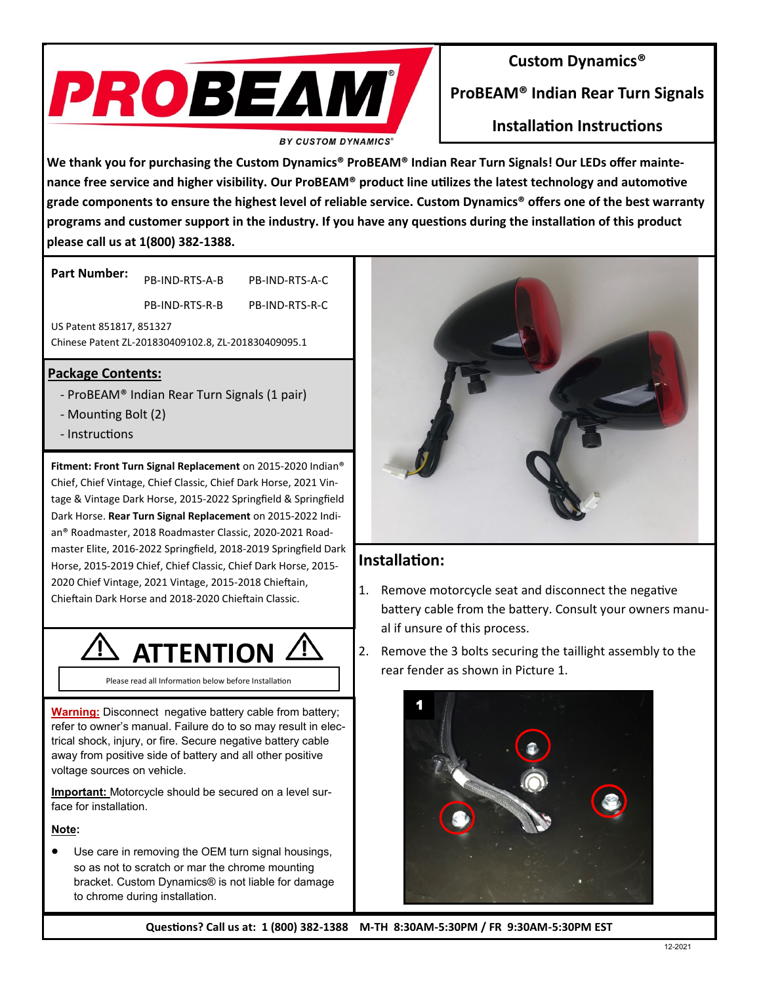

## **Custom Dynamics®**

**ProBEAM® Indian Rear Turn Signals**

**Installation Instructions**

**We thank you for purchasing the Custom Dynamics® ProBEAM® Indian Rear Turn Signals! Our LEDs offer maintenance free service and higher visibility. Our ProBEAM® product line utilizes the latest technology and automotive grade components to ensure the highest level of reliable service. Custom Dynamics® offers one of the best warranty programs and customer support in the industry. If you have any questions during the installation of this product please call us at 1(800) 382-1388.**

**Part Number:**  PB-IND-RTS-A-B PB-IND-RTS-A-C

PB-IND-RTS-R-B PB-IND-RTS-R-C

US Patent 851817, 851327

Chinese Patent ZL-201830409102.8, ZL-201830409095.1

### **Package Contents:**

- ProBEAM® Indian Rear Turn Signals (1 pair)
- Mounting Bolt (2)
- Instructions

**Fitment: Front Turn Signal Replacement** on 2015-2020 Indian® Chief, Chief Vintage, Chief Classic, Chief Dark Horse, 2021 Vintage & Vintage Dark Horse, 2015-2022 Springfield & Springfield Dark Horse. **Rear Turn Signal Replacement** on 2015-2022 Indian® Roadmaster, 2018 Roadmaster Classic, 2020-2021 Roadmaster Elite, 2016-2022 Springfield, 2018-2019 Springfield Dark Horse, 2015-2019 Chief, Chief Classic, Chief Dark Horse, 2015- 2020 Chief Vintage, 2021 Vintage, 2015-2018 Chieftain, Chieftain Dark Horse and 2018-2020 Chieftain Classic.



Please read all Information below before Installation

**Warning:** Disconnect negative battery cable from battery; refer to owner's manual. Failure do to so may result in electrical shock, injury, or fire. Secure negative battery cable away from positive side of battery and all other positive voltage sources on vehicle.

**Important:** Motorcycle should be secured on a level surface for installation.

#### **Note:**

• Use care in removing the OEM turn signal housings, so as not to scratch or mar the chrome mounting bracket. Custom Dynamics® is not liable for damage to chrome during installation.



## **Installation:**

- 1. Remove motorcycle seat and disconnect the negative battery cable from the battery. Consult your owners manual if unsure of this process.
- 2. Remove the 3 bolts securing the taillight assembly to the rear fender as shown in Picture 1.



**Questions? Call us at: 1 (800) 382-1388 M-TH 8:30AM-5:30PM / FR 9:30AM-5:30PM EST**